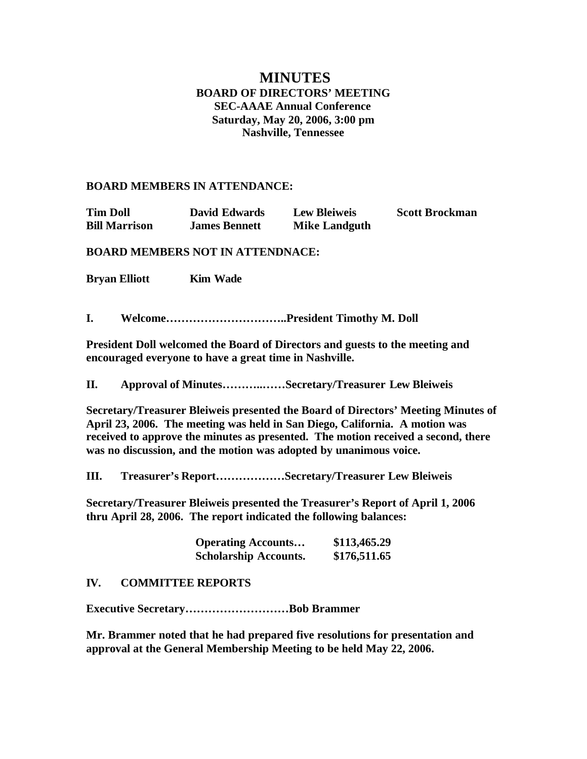# **MINUTES BOARD OF DIRECTORS' MEETING SEC-AAAE Annual Conference Saturday, May 20, 2006, 3:00 pm Nashville, Tennessee**

#### **BOARD MEMBERS IN ATTENDANCE:**

**Tim Doll David Edwards Lew Bleiweis Scott Brockman Bill Marrison James Bennett Mike Landguth**

**BOARD MEMBERS NOT IN ATTENDNACE:**

**Bryan Elliott Kim Wade**

**I. Welcome…………………………..President Timothy M. Doll**

**President Doll welcomed the Board of Directors and guests to the meeting and encouraged everyone to have a great time in Nashville.**

**II. Approval of Minutes………..……Secretary/Treasurer Lew Bleiweis**

**Secretary/Treasurer Bleiweis presented the Board of Directors' Meeting Minutes of April 23, 2006. The meeting was held in San Diego, California. A motion was received to approve the minutes as presented. The motion received a second, there was no discussion, and the motion was adopted by unanimous voice.**

**III. Treasurer's Report………………Secretary/Treasurer Lew Bleiweis**

**Secretary/Treasurer Bleiweis presented the Treasurer's Report of April 1, 2006 thru April 28, 2006. The report indicated the following balances:**

| <b>Operating Accounts</b>    | \$113,465.29 |
|------------------------------|--------------|
| <b>Scholarship Accounts.</b> | \$176,511.65 |

#### **IV. COMMITTEE REPORTS**

**Executive Secretary………………………Bob Brammer**

**Mr. Brammer noted that he had prepared five resolutions for presentation and approval at the General Membership Meeting to be held May 22, 2006.**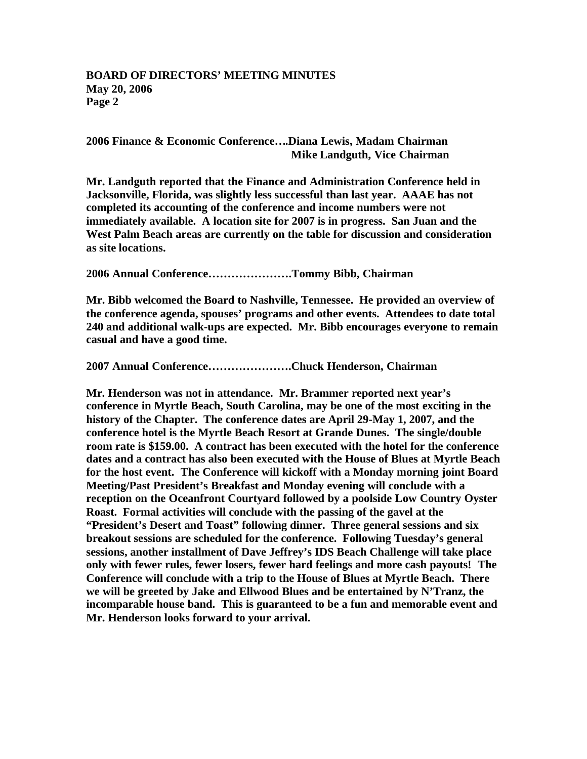**2006 Finance & Economic Conference….Diana Lewis, Madam Chairman Mike Landguth, Vice Chairman**

**Mr. Landguth reported that the Finance and Administration Conference held in Jacksonville, Florida, was slightly less successful than last year. AAAE has not completed its accounting of the conference and income numbers were not immediately available. A location site for 2007 is in progress. San Juan and the West Palm Beach areas are currently on the table for discussion and consideration as site locations.**

**2006 Annual Conference………………….Tommy Bibb, Chairman**

**Mr. Bibb welcomed the Board to Nashville, Tennessee. He provided an overview of the conference agenda, spouses' programs and other events. Attendees to date total 240 and additional walk-ups are expected. Mr. Bibb encourages everyone to remain casual and have a good time.**

**2007 Annual Conference………………….Chuck Henderson, Chairman**

**Mr. Henderson was not in attendance. Mr. Brammer reported next year's conference in Myrtle Beach, South Carolina, may be one of the most exciting in the history of the Chapter. The conference dates are April 29-May 1, 2007, and the conference hotel is the Myrtle Beach Resort at Grande Dunes. The single/double room rate is \$159.00. A contract has been executed with the hotel for the conference dates and a contract has also been executed with the House of Blues at Myrtle Beach for the host event. The Conference will kickoff with a Monday morning joint Board Meeting/Past President's Breakfast and Monday evening will conclude with a reception on the Oceanfront Courtyard followed by a poolside Low Country Oyster Roast. Formal activities will conclude with the passing of the gavel at the "President's Desert and Toast" following dinner. Three general sessions and six breakout sessions are scheduled for the conference. Following Tuesday's general sessions, another installment of Dave Jeffrey's IDS Beach Challenge will take place only with fewer rules, fewer losers, fewer hard feelings and more cash payouts! The Conference will conclude with a trip to the House of Blues at Myrtle Beach. There we will be greeted by Jake and Ellwood Blues and be entertained by N'Tranz, the incomparable house band. This is guaranteed to be a fun and memorable event and Mr. Henderson looks forward to your arrival.**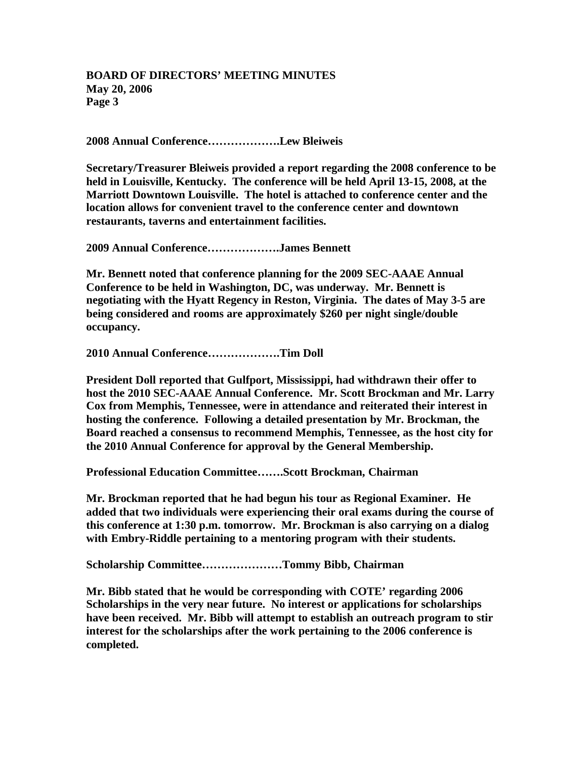**2008 Annual Conference……………….Lew Bleiweis**

**Secretary/Treasurer Bleiweis provided a report regarding the 2008 conference to be held in Louisville, Kentucky. The conference will be held April 13-15, 2008, at the Marriott Downtown Louisville. The hotel is attached to conference center and the location allows for convenient travel to the conference center and downtown restaurants, taverns and entertainment facilities.**

**2009 Annual Conference……………….James Bennett**

**Mr. Bennett noted that conference planning for the 2009 SEC-AAAE Annual Conference to be held in Washington, DC, was underway. Mr. Bennett is negotiating with the Hyatt Regency in Reston, Virginia. The dates of May 3-5 are being considered and rooms are approximately \$260 per night single/double occupancy.**

**2010 Annual Conference……………….Tim Doll**

**President Doll reported that Gulfport, Mississippi, had withdrawn their offer to host the 2010 SEC-AAAE Annual Conference. Mr. Scott Brockman and Mr. Larry Cox from Memphis, Tennessee, were in attendance and reiterated their interest in hosting the conference. Following a detailed presentation by Mr. Brockman, the Board reached a consensus to recommend Memphis, Tennessee, as the host city for the 2010 Annual Conference for approval by the General Membership.**

**Professional Education Committee…….Scott Brockman, Chairman**

**Mr. Brockman reported that he had begun his tour as Regional Examiner. He added that two individuals were experiencing their oral exams during the course of this conference at 1:30 p.m. tomorrow. Mr. Brockman is also carrying on a dialog with Embry-Riddle pertaining to a mentoring program with their students.**

**Scholarship Committee…………………Tommy Bibb, Chairman**

**Mr. Bibb stated that he would be corresponding with COTE' regarding 2006 Scholarships in the very near future. No interest or applications for scholarships have been received. Mr. Bibb will attempt to establish an outreach program to stir interest for the scholarships after the work pertaining to the 2006 conference is completed.**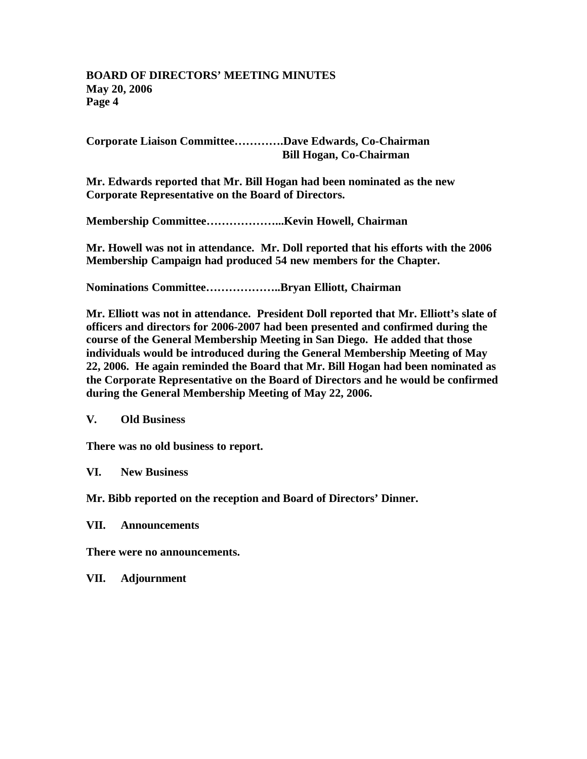**Corporate Liaison Committee………….Dave Edwards, Co-Chairman Bill Hogan, Co-Chairman**

**Mr. Edwards reported that Mr. Bill Hogan had been nominated as the new Corporate Representative on the Board of Directors.**

**Membership Committee………………...Kevin Howell, Chairman**

**Mr. Howell was not in attendance. Mr. Doll reported that his efforts with the 2006 Membership Campaign had produced 54 new members for the Chapter.**

**Nominations Committee………………..Bryan Elliott, Chairman**

**Mr. Elliott was not in attendance. President Doll reported that Mr. Elliott's slate of officers and directors for 2006-2007 had been presented and confirmed during the course of the General Membership Meeting in San Diego. He added that those individuals would be introduced during the General Membership Meeting of May 22, 2006. He again reminded the Board that Mr. Bill Hogan had been nominated as the Corporate Representative on the Board of Directors and he would be confirmed during the General Membership Meeting of May 22, 2006.**

**V. Old Business**

**There was no old business to report.**

**VI. New Business**

**Mr. Bibb reported on the reception and Board of Directors' Dinner.**

**VII. Announcements**

**There were no announcements.**

**VII. Adjournment**